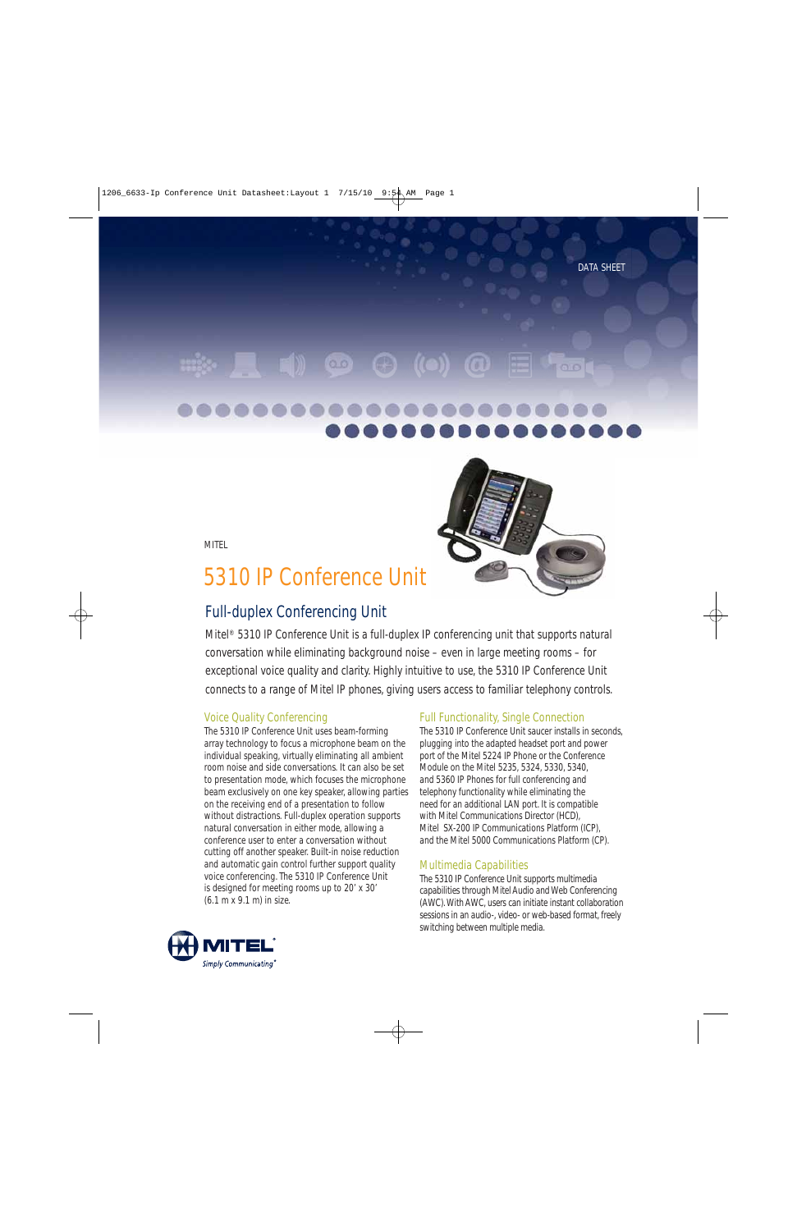# $\bullet$   $\bullet$  ((

8080 ,,,,,



MITEL

# 5310 IP Conference Unit

# Full-duplex Conferencing Unit

Mitel® 5310 IP Conference Unit is a full-duplex IP conferencing unit that supports natural conversation while eliminating background noise – even in large meeting rooms – for exceptional voice quality and clarity. Highly intuitive to use, the 5310 IP Conference Unit connects to a range of Mitel IP phones, giving users access to familiar telephony controls.

## Voice Quality Conferencing

The 5310 IP Conference Unit uses beam-forming array technology to focus a microphone beam on the individual speaking, virtually eliminating all ambient room noise and side conversations. It can also be set to presentation mode, which focuses the microphone beam exclusively on one key speaker, allowing parties on the receiving end of a presentation to follow without distractions. Full-duplex operation supports natural conversation in either mode, allowing a conference user to enter a conversation without cutting off another speaker. Built-in noise reduction and automatic gain control further support quality voice conferencing. The 5310 IP Conference Unit is designed for meeting rooms up to 20' x 30' (6.1 m x 9.1 m) in size.

## Full Functionality, Single Connection

The 5310 IP Conference Unit saucer installs in seconds, plugging into the adapted headset port and power port of the Mitel 5224 IP Phone or the Conference Module on the Mitel 5235, 5324, 5330, 5340, and 5360 IP Phones for full conferencing and telephony functionality while eliminating the need for an additional LAN port. It is compatible with Mitel Communications Director (HCD), Mitel SX-200 IP Communications Platform (ICP), and the Mitel 5000 Communications Platform (CP).

### Multimedia Capabilities

The 5310 IP Conference Unit supports multimedia capabilities through Mitel Audio and Web Conferencing (AWC). With AWC, users can initiate instant collaboration sessions in an audio-, video- or web-based format, freely switching between multiple media.

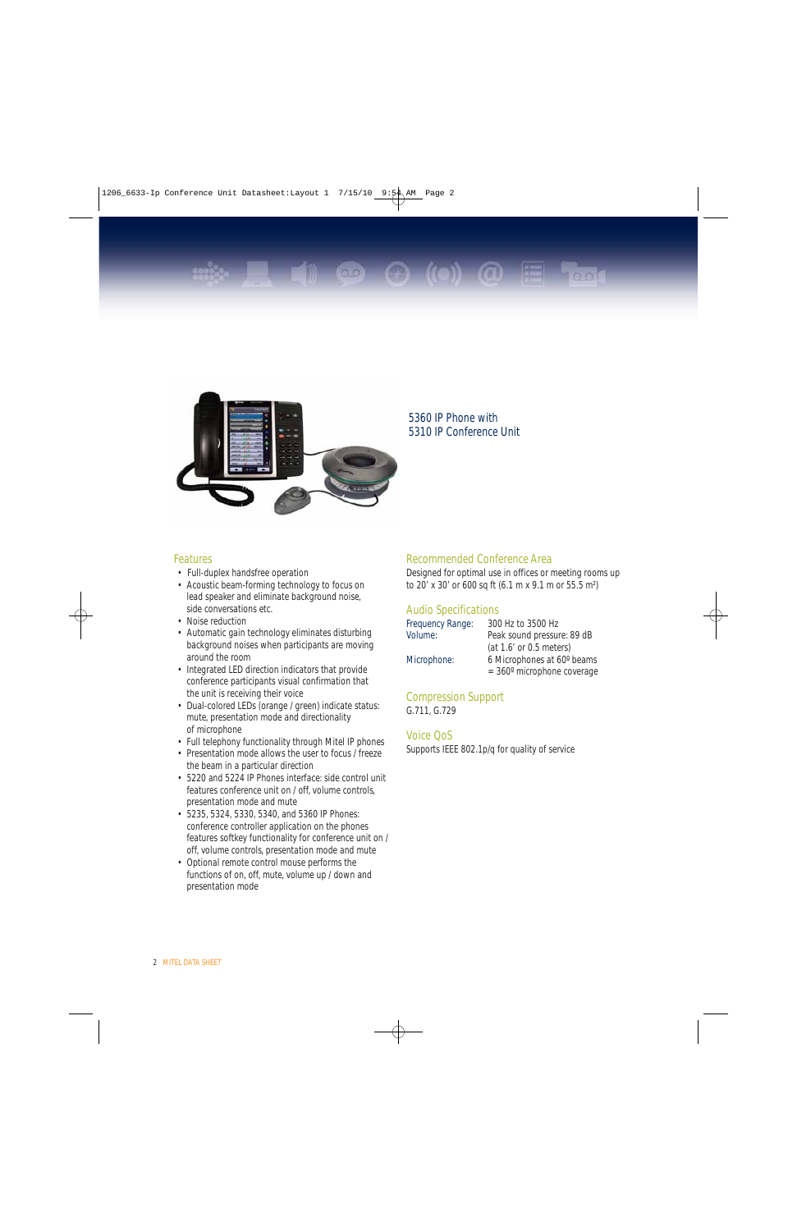



### 5360 IP Phone with 5310 IP Conference Unit

#### Features

- Full-duplex handsfree operation
- Acoustic beam-forming technology to focus on lead speaker and eliminate background noise, side conversations etc.
- Noise reduction
- Automatic gain technology eliminates disturbing background noises when participants are moving around the room
- Integrated LED direction indicators that provide conference participants visual confirmation that the unit is receiving their voice
- Dual-colored LEDs (orange / green) indicate status: mute, presentation mode and directionality of microphone
- Full telephony functionality through Mitel IP phones
- Presentation mode allows the user to focus / freeze the beam in a particular direction
- 5220 and 5224 IP Phones interface: side control unit features conference unit on / off, volume controls, presentation mode and mute
- 5235, 5324, 5330, 5340, and 5360 IP Phones: conference controller application on the phones features softkey functionality for conference unit on / off, volume controls, presentation mode and mute
- Optional remote control mouse performs the functions of on, off, mute, volume up / down and presentation mode

#### Recommended Conference Area

Designed for optimal use in offices or meeting rooms up to 20' x 30' or 600 sq ft (6.1 m x 9.1 m or 55.5 m²)

#### Audio Specifications

| Frequency Range: | 300 Hz to 3500 Hz                      |  |  |
|------------------|----------------------------------------|--|--|
| Volume:          | Peak sound pressure: 89 dB             |  |  |
|                  | (at 1.6' or 0.5 meters)                |  |  |
| Microphone:      | 6 Microphones at 60° beams             |  |  |
|                  | $=$ 360 $^{\circ}$ microphone coverage |  |  |

Compression Support G.711, G.729

#### Voice QoS

Supports IEEE 802.1p/q for quality of service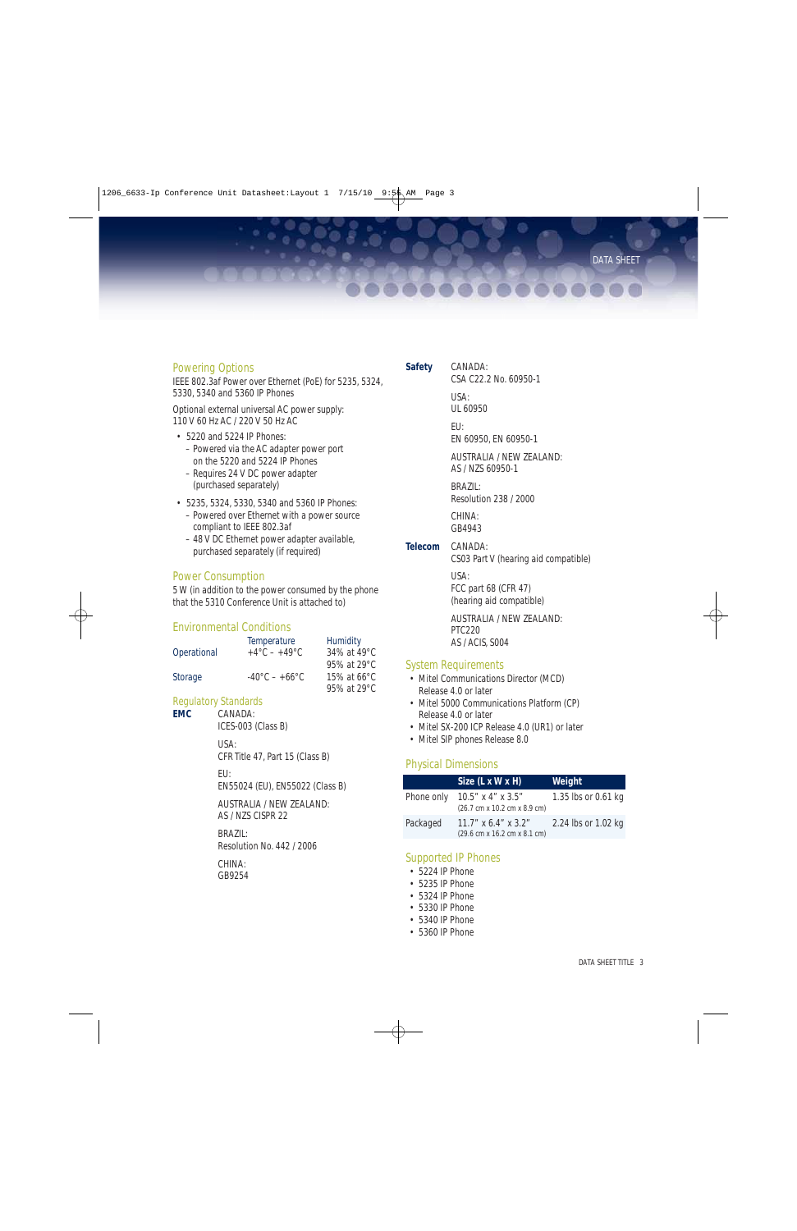. . . . . . . . . .

#### Powering Options

IEEE 802.3af Power over Ethernet (PoE) for 5235, 5324, 5330, 5340 and 5360 IP Phones

Optional external universal AC power supply: 110 V 60 Hz AC / 220 V 50 Hz AC

- 5220 and 5224 IP Phones: – Powered via the AC adapter power port on the 5220 and 5224 IP Phones
	- Requires 24 V DC power adapter (purchased separately)
- 5235, 5324, 5330, 5340 and 5360 IP Phones:
	- Powered over Ethernet with a power source compliant to IEEE 802.3af
	- 48 V DC Ethernet power adapter available, purchased separately (if required)

#### Power Consumption

5 W (in addition to the power consumed by the phone that the 5310 Conference Unit is attached to)

#### Environmental Conditions

|             | Temperature                        | <b>Humidity</b>       |
|-------------|------------------------------------|-----------------------|
| Operational | $+4^{\circ}$ C – $+49^{\circ}$ C   | 34% at 49°C           |
|             |                                    | 95% at 29°C           |
| Storage     | $-40^{\circ}$ C – +66 $^{\circ}$ C | 15% at $66^{\circ}$ C |
|             |                                    | 95% at 29°C           |

# Regulatory Standards<br> **EMC** CANADA:

ICES-003 (Class B)

USA:

CANADA:

CFR Title 47, Part 15 (Class B)

EU:

EN55024 (EU), EN55022 (Class B)

AUSTRALIA / NEW ZEALAND: AS / NZS CISPR 22

BRAZIL: Resolution No. 442 / 2006

CHINA: GB9254 **Safety** CANADA: CSA C22.2 No. 60950-1 USA:

> UL 60950 EU:

EN 60950, EN 60950-1

AUSTRALIA / NEW ZEALAND: AS / NZS 60950-1

BRAZIL: Resolution 238 / 2000

CHINA: GB4943

**Telecom** CANADA:

CS03 Part V (hearing aid compatible)

USA: FCC part 68 (CFR 47) (hearing aid compatible)

AUSTRALIA / NEW ZEALAND: PTC220 AS / ACIS, S004

#### System Requirements

- Mitel Communications Director (MCD) Release 4.0 or later
- Mitel 5000 Communications Platform (CP) Release 4.0 or later
- Mitel SX-200 ICP Release 4.0 (UR1) or later
- Mitel SIP phones Release 8.0

#### Physical Dimensions

|            | Size (L x W x H)                                       | Weight              |
|------------|--------------------------------------------------------|---------------------|
| Phone only | $10.5''$ x 4" x 3.5"<br>(26.7 cm x 10.2 cm x 8.9 cm)   | 1.35 lbs or 0.61 kg |
| Packaged   | $11.7''$ x 6.4" x 3.2"<br>(29.6 cm x 16.2 cm x 8.1 cm) | 2.24 lbs or 1.02 kg |

#### Supported IP Phones

- 5224 IP Phone
- 5235 IP Phone
- 5324 IP Phone
- 5330 IP Phone
- 5340 IP Phone
- 5360 IP Phone